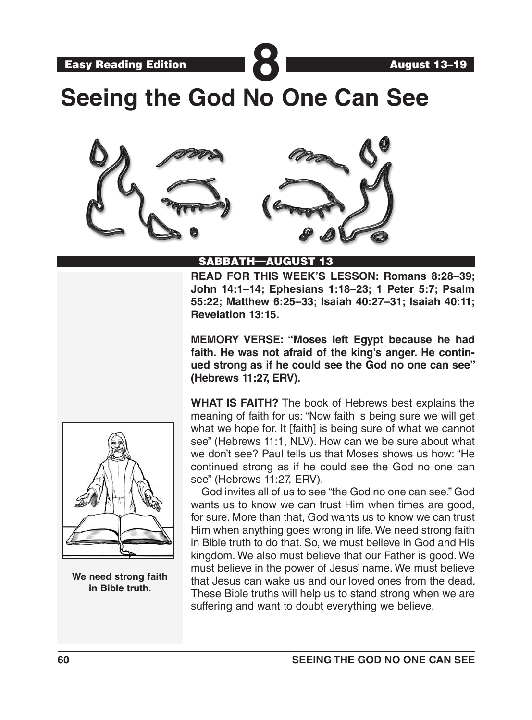Easy Reading Edition **889 (Case)** 

**Seeing the God No One Can See**



## SABBATH—AUGUST 13

**READ FOR THIS WEEK'S LESSON: Romans 8:28–39; John 14:1–14; Ephesians 1:18–23; 1 Peter 5:7; Psalm 55:22; Matthew 6:25–33; Isaiah 40:27–31; Isaiah 40:11; Revelation 13:15.** 

**MEMORY VERSE: "Moses left Egypt because he had faith. He was not afraid of the king's anger. He continued strong as if he could see the God no one can see" (Hebrews 11:27, ERV).**

**WHAT IS FAITH?** The book of Hebrews best explains the meaning of faith for us: "Now faith is being sure we will get what we hope for. It [faith] is being sure of what we cannot see" (Hebrews 11:1, NLV). How can we be sure about what we don't see? Paul tells us that Moses shows us how: "He continued strong as if he could see the God no one can see" (Hebrews 11:27, ERV).

God invites all of us to see "the God no one can see." God wants us to know we can trust Him when times are good, for sure. More than that, God wants us to know we can trust Him when anything goes wrong in life. We need strong faith in Bible truth to do that. So, we must believe in God and His kingdom. We also must believe that our Father is good. We must believe in the power of Jesus' name. We must believe that Jesus can wake us and our loved ones from the dead. These Bible truths will help us to stand strong when we are suffering and want to doubt everything we believe.



**We need strong faith in Bible truth.**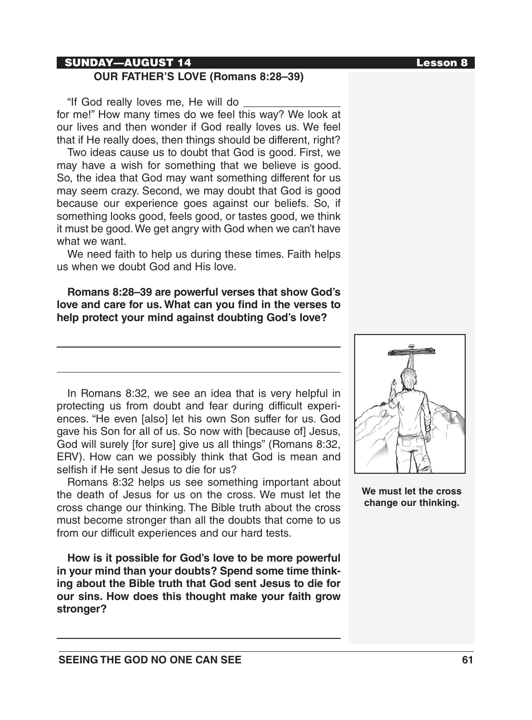## SUNDAY—AUGUST 14 Lesson 8

# **OUR FATHER'S LOVE (Romans 8:28–39)**

"If God really loves me, He will do for me!" How many times do we feel this way? We look at our lives and then wonder if God really loves us. We feel that if He really does, then things should be different, right?

Two ideas cause us to doubt that God is good. First, we may have a wish for something that we believe is good. So, the idea that God may want something different for us may seem crazy. Second, we may doubt that God is good because our experience goes against our beliefs. So, if something looks good, feels good, or tastes good, we think it must be good. We get angry with God when we can't have what we want.

We need faith to help us during these times. Faith helps us when we doubt God and His love.

**Romans 8:28–39 are powerful verses that show God's love and care for us. What can you find in the verses to help protect your mind against doubting God's love?**

In Romans 8:32, we see an idea that is very helpful in protecting us from doubt and fear during difficult experiences. "He even [also] let his own Son suffer for us. God gave his Son for all of us. So now with [because of] Jesus, God will surely [for sure] give us all things" (Romans 8:32, ERV). How can we possibly think that God is mean and selfish if He sent Jesus to die for us?

Romans 8:32 helps us see something important about the death of Jesus for us on the cross. We must let the cross change our thinking. The Bible truth about the cross must become stronger than all the doubts that come to us from our difficult experiences and our hard tests.

**How is it possible for God's love to be more powerful in your mind than your doubts? Spend some time thinking about the Bible truth that God sent Jesus to die for our sins. How does this thought make your faith grow stronger?**



**We must let the cross change our thinking.**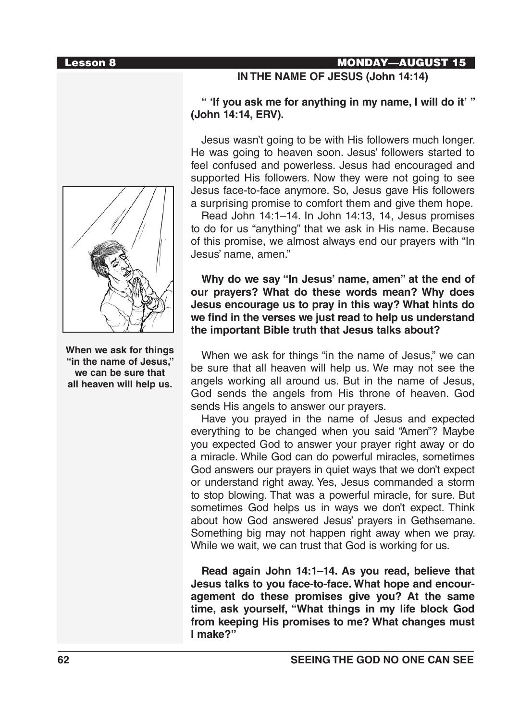

## **IN THE NAME OF JESUS (John 14:14)**

## **" 'If you ask me for anything in my name, I will do it' " (John 14:14, ERV).**

Jesus wasn't going to be with His followers much longer. He was going to heaven soon. Jesus' followers started to feel confused and powerless. Jesus had encouraged and supported His followers. Now they were not going to see Jesus face-to-face anymore. So, Jesus gave His followers a surprising promise to comfort them and give them hope.

Read John 14:1–14. In John 14:13, 14, Jesus promises to do for us "anything" that we ask in His name. Because of this promise, we almost always end our prayers with "In Jesus' name, amen."

## **Why do we say "In Jesus' name, amen" at the end of our prayers? What do these words mean? Why does Jesus encourage us to pray in this way? What hints do we find in the verses we just read to help us understand the important Bible truth that Jesus talks about?**

When we ask for things "in the name of Jesus," we can be sure that all heaven will help us. We may not see the angels working all around us. But in the name of Jesus, God sends the angels from His throne of heaven. God sends His angels to answer our prayers.

Have you prayed in the name of Jesus and expected everything to be changed when you said "Amen"? Maybe you expected God to answer your prayer right away or do a miracle. While God can do powerful miracles, sometimes God answers our prayers in quiet ways that we don't expect or understand right away. Yes, Jesus commanded a storm to stop blowing. That was a powerful miracle, for sure. But sometimes God helps us in ways we don't expect. Think about how God answered Jesus' prayers in Gethsemane. Something big may not happen right away when we pray. While we wait, we can trust that God is working for us.

**Read again John 14:1–14. As you read, believe that Jesus talks to you face-to-face. What hope and encouragement do these promises give you? At the same time, ask yourself, "What things in my life block God from keeping His promises to me? What changes must I make?"**



**When we ask for things "in the name of Jesus," we can be sure that all heaven will help us.**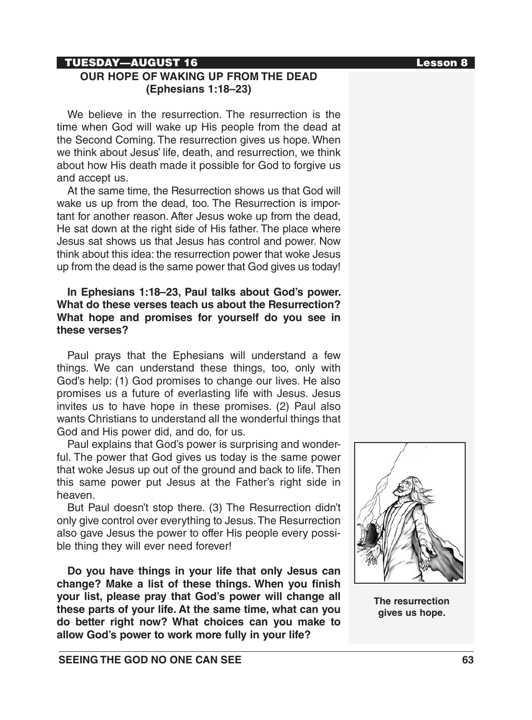### TUESDAY—AUGUST 16 Lesson 8

# **OUR HOPE OF WAKING UP FROM THE DEAD (Ephesians 1:18–23)**

We believe in the resurrection. The resurrection is the time when God will wake up His people from the dead at the Second Coming. The resurrection gives us hope. When we think about Jesus' life, death, and resurrection, we think about how His death made it possible for God to forgive us and accept us.

At the same time, the Resurrection shows us that God will wake us up from the dead, too. The Resurrection is important for another reason. After Jesus woke up from the dead, He sat down at the right side of His father. The place where Jesus sat shows us that Jesus has control and power. Now think about this idea: the resurrection power that woke Jesus up from the dead is the same power that God gives us today!

## **In Ephesians 1:18–23, Paul talks about God's power. What do these verses teach us about the Resurrection? What hope and promises for yourself do you see in these verses?**

Paul prays that the Ephesians will understand a few things. We can understand these things, too, only with God's help: (1) God promises to change our lives. He also promises us a future of everlasting life with Jesus. Jesus invites us to have hope in these promises. (2) Paul also wants Christians to understand all the wonderful things that God and His power did, and do, for us.

Paul explains that God's power is surprising and wonderful. The power that God gives us today is the same power that woke Jesus up out of the ground and back to life. Then this same power put Jesus at the Father's right side in heaven.

But Paul doesn't stop there. (3) The Resurrection didn't only give control over everything to Jesus. The Resurrection also gave Jesus the power to offer His people every possible thing they will ever need forever!

**Do you have things in your life that only Jesus can change? Make a list of these things. When you finish your list, please pray that God's power will change all these parts of your life. At the same time, what can you do better right now? What choices can you make to allow God's power to work more fully in your life?**

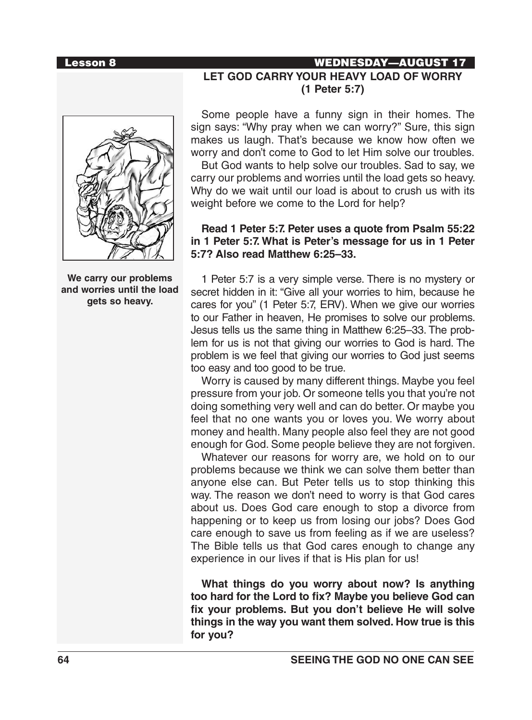# Lesson 8 WEDNESDAY—AUGUST 17 **LET GOD CARRY YOUR HEAVY LOAD OF WORRY (1 Peter 5:7)**



**We carry our problems and worries until the load gets so heavy.**

Some people have a funny sign in their homes. The sign says: "Why pray when we can worry?" Sure, this sign makes us laugh. That's because we know how often we worry and don't come to God to let Him solve our troubles.

But God wants to help solve our troubles. Sad to say, we carry our problems and worries until the load gets so heavy. Why do we wait until our load is about to crush us with its weight before we come to the Lord for help?

## **Read 1 Peter 5:7. Peter uses a quote from Psalm 55:22 in 1 Peter 5:7. What is Peter's message for us in 1 Peter 5:7? Also read Matthew 6:25–33.**

1 Peter 5:7 is a very simple verse. There is no mystery or secret hidden in it: "Give all your worries to him, because he cares for you" (1 Peter 5:7, ERV). When we give our worries to our Father in heaven, He promises to solve our problems. Jesus tells us the same thing in Matthew 6:25–33. The problem for us is not that giving our worries to God is hard. The problem is we feel that giving our worries to God just seems too easy and too good to be true.

Worry is caused by many different things. Maybe you feel pressure from your job. Or someone tells you that you're not doing something very well and can do better. Or maybe you feel that no one wants you or loves you. We worry about money and health. Many people also feel they are not good enough for God. Some people believe they are not forgiven.

Whatever our reasons for worry are, we hold on to our problems because we think we can solve them better than anyone else can. But Peter tells us to stop thinking this way. The reason we don't need to worry is that God cares about us. Does God care enough to stop a divorce from happening or to keep us from losing our jobs? Does God care enough to save us from feeling as if we are useless? The Bible tells us that God cares enough to change any experience in our lives if that is His plan for us!

**What things do you worry about now? Is anything too hard for the Lord to fix? Maybe you believe God can fix your problems. But you don't believe He will solve things in the way you want them solved. How true is this for you?**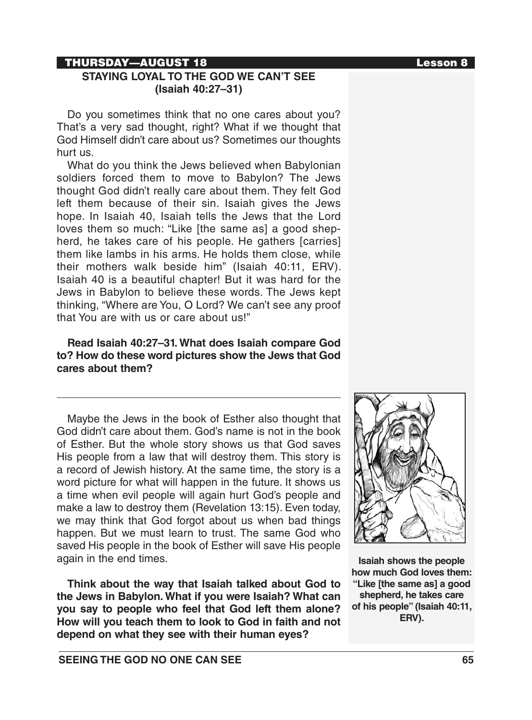## THURSDAY—AUGUST 18 Lesson 8

# **STAYING LOYAL TO THE GOD WE CAN'T SEE (Isaiah 40:27–31)**

Do you sometimes think that no one cares about you? That's a very sad thought, right? What if we thought that God Himself didn't care about us? Sometimes our thoughts hurt us.

What do you think the Jews believed when Babylonian soldiers forced them to move to Babylon? The Jews thought God didn't really care about them. They felt God left them because of their sin. Isaiah gives the Jews hope. In Isaiah 40, Isaiah tells the Jews that the Lord loves them so much: "Like [the same as] a good shepherd, he takes care of his people. He gathers [carries] them like lambs in his arms. He holds them close, while their mothers walk beside him" (Isaiah 40:11, ERV). Isaiah 40 is a beautiful chapter! But it was hard for the Jews in Babylon to believe these words. The Jews kept thinking, "Where are You, O Lord? We can't see any proof that You are with us or care about us!"

## **Read Isaiah 40:27–31. What does Isaiah compare God to? How do these word pictures show the Jews that God cares about them?**

Maybe the Jews in the book of Esther also thought that God didn't care about them. God's name is not in the book of Esther. But the whole story shows us that God saves His people from a law that will destroy them. This story is a record of Jewish history. At the same time, the story is a word picture for what will happen in the future. It shows us a time when evil people will again hurt God's people and make a law to destroy them (Revelation 13:15). Even today, we may think that God forgot about us when bad things happen. But we must learn to trust. The same God who saved His people in the book of Esther will save His people again in the end times.

**Think about the way that Isaiah talked about God to the Jews in Babylon. What if you were Isaiah? What can you say to people who feel that God left them alone? How will you teach them to look to God in faith and not depend on what they see with their human eyes?**



**Isaiah shows the people how much God loves them: "Like [the same as] a good shepherd, he takes care of his people" (Isaiah 40:11, ERV).**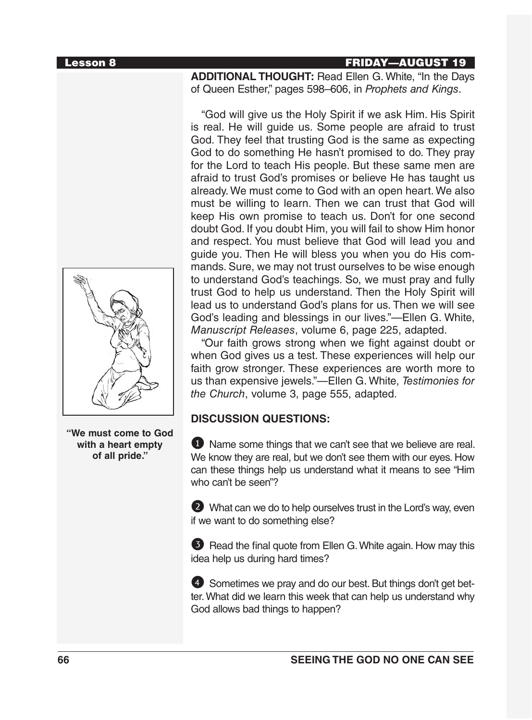## Lesson 8 FRIDAY—AUGUST 19

**ADDITIONAL THOUGHT:** Read Ellen G. White, "In the Days of Queen Esther," pages 598–606, in *Prophets and Kings*.

"God will give us the Holy Spirit if we ask Him. His Spirit is real. He will guide us. Some people are afraid to trust God. They feel that trusting God is the same as expecting God to do something He hasn't promised to do. They pray for the Lord to teach His people. But these same men are afraid to trust God's promises or believe He has taught us already. We must come to God with an open heart. We also must be willing to learn. Then we can trust that God will keep His own promise to teach us. Don't for one second doubt God. If you doubt Him, you will fail to show Him honor and respect. You must believe that God will lead you and guide you. Then He will bless you when you do His commands. Sure, we may not trust ourselves to be wise enough to understand God's teachings. So, we must pray and fully trust God to help us understand. Then the Holy Spirit will lead us to understand God's plans for us. Then we will see God's leading and blessings in our lives."—Ellen G. White, *Manuscript Releases*, volume 6, page 225, adapted.

"Our faith grows strong when we fight against doubt or when God gives us a test. These experiences will help our faith grow stronger. These experiences are worth more to us than expensive jewels."—Ellen G. White, *Testimonies for the Church*, volume 3, page 555, adapted.

# **DISCUSSION QUESTIONS:**

**1** Name some things that we can't see that we believe are real. We know they are real, but we don't see them with our eyes. How can these things help us understand what it means to see "Him who can't be seen"?

2 What can we do to help ourselves trust in the Lord's way, even if we want to do something else?

**3** Read the final quote from Ellen G. White again. How may this idea help us during hard times?

4 Sometimes we pray and do our best. But things don't get better. What did we learn this week that can help us understand why God allows bad things to happen?



**"We must come to God with a heart empty of all pride."**